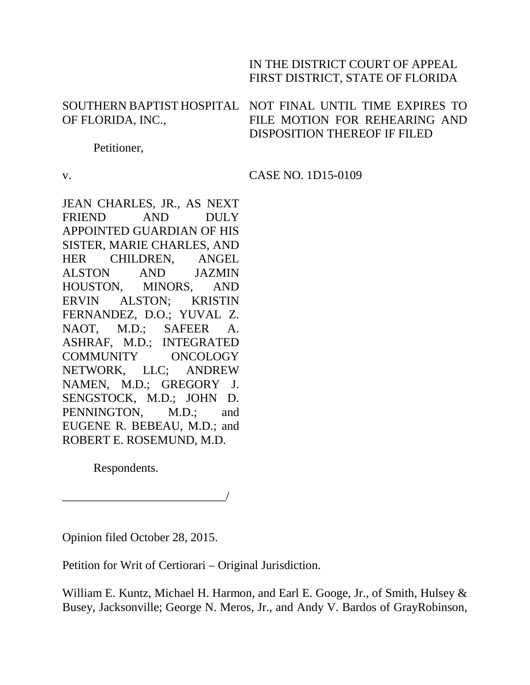## IN THE DISTRICT COURT OF APPEAL FIRST DISTRICT, STATE OF FLORIDA

# OF FLORIDA, INC.,

## SOUTHERN BAPTIST HOSPITAL NOT FINAL UNTIL TIME EXPIRES TO FILE MOTION FOR REHEARING AND DISPOSITION THEREOF IF FILED

Petitioner,

v.

CASE NO. 1D15-0109

JEAN CHARLES, JR., AS NEXT FRIEND AND DULY APPOINTED GUARDIAN OF HIS SISTER, MARIE CHARLES, AND HER CHILDREN, ANGEL ALSTON AND JAZMIN HOUSTON, MINORS, AND ERVIN ALSTON; KRISTIN FERNANDEZ, D.O.; YUVAL Z. NAOT, M.D.; SAFEER A. ASHRAF, M.D.; INTEGRATED COMMUNITY ONCOLOGY NETWORK, LLC; ANDREW NAMEN, M.D.; GREGORY J. SENGSTOCK, M.D.; JOHN D. PENNINGTON, M.D.; and EUGENE R. BEBEAU, M.D.; and ROBERT E. ROSEMUND, M.D.

Respondents.

\_\_\_\_\_\_\_\_\_\_\_\_\_\_\_\_\_\_\_\_\_\_\_\_\_\_\_/

Opinion filed October 28, 2015.

Petition for Writ of Certiorari – Original Jurisdiction.

William E. Kuntz, Michael H. Harmon, and Earl E. Googe, Jr., of Smith, Hulsey & Busey, Jacksonville; George N. Meros, Jr., and Andy V. Bardos of GrayRobinson,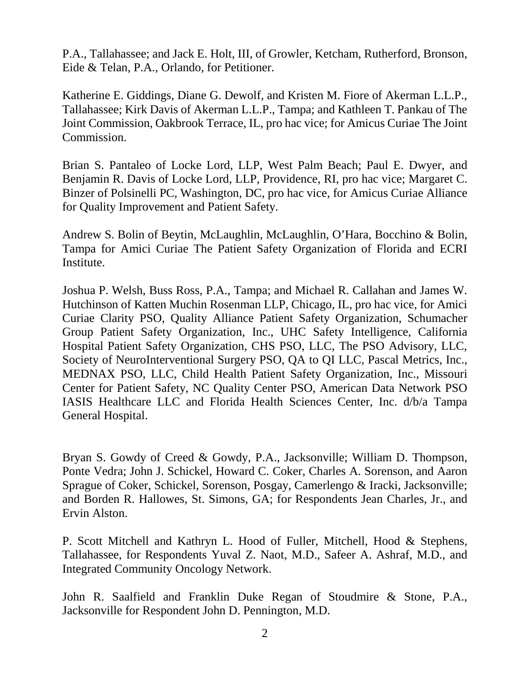P.A., Tallahassee; and Jack E. Holt, III, of Growler, Ketcham, Rutherford, Bronson, Eide & Telan, P.A., Orlando, for Petitioner.

Katherine E. Giddings, Diane G. Dewolf, and Kristen M. Fiore of Akerman L.L.P., Tallahassee; Kirk Davis of Akerman L.L.P., Tampa; and Kathleen T. Pankau of The Joint Commission, Oakbrook Terrace, IL, pro hac vice; for Amicus Curiae The Joint Commission.

Brian S. Pantaleo of Locke Lord, LLP, West Palm Beach; Paul E. Dwyer, and Benjamin R. Davis of Locke Lord, LLP, Providence, RI, pro hac vice; Margaret C. Binzer of Polsinelli PC, Washington, DC, pro hac vice, for Amicus Curiae Alliance for Quality Improvement and Patient Safety.

Andrew S. Bolin of Beytin, McLaughlin, McLaughlin, O'Hara, Bocchino & Bolin, Tampa for Amici Curiae The Patient Safety Organization of Florida and ECRI Institute.

Joshua P. Welsh, Buss Ross, P.A., Tampa; and Michael R. Callahan and James W. Hutchinson of Katten Muchin Rosenman LLP, Chicago, IL, pro hac vice, for Amici Curiae Clarity PSO, Quality Alliance Patient Safety Organization, Schumacher Group Patient Safety Organization, Inc., UHC Safety Intelligence, California Hospital Patient Safety Organization, CHS PSO, LLC, The PSO Advisory, LLC, Society of NeuroInterventional Surgery PSO, QA to QI LLC, Pascal Metrics, Inc., MEDNAX PSO, LLC, Child Health Patient Safety Organization, Inc., Missouri Center for Patient Safety, NC Quality Center PSO, American Data Network PSO IASIS Healthcare LLC and Florida Health Sciences Center, Inc. d/b/a Tampa General Hospital.

Bryan S. Gowdy of Creed & Gowdy, P.A., Jacksonville; William D. Thompson, Ponte Vedra; John J. Schickel, Howard C. Coker, Charles A. Sorenson, and Aaron Sprague of Coker, Schickel, Sorenson, Posgay, Camerlengo & Iracki, Jacksonville; and Borden R. Hallowes, St. Simons, GA; for Respondents Jean Charles, Jr., and Ervin Alston.

P. Scott Mitchell and Kathryn L. Hood of Fuller, Mitchell, Hood & Stephens, Tallahassee, for Respondents Yuval Z. Naot, M.D., Safeer A. Ashraf, M.D., and Integrated Community Oncology Network.

John R. Saalfield and Franklin Duke Regan of Stoudmire & Stone, P.A., Jacksonville for Respondent John D. Pennington, M.D.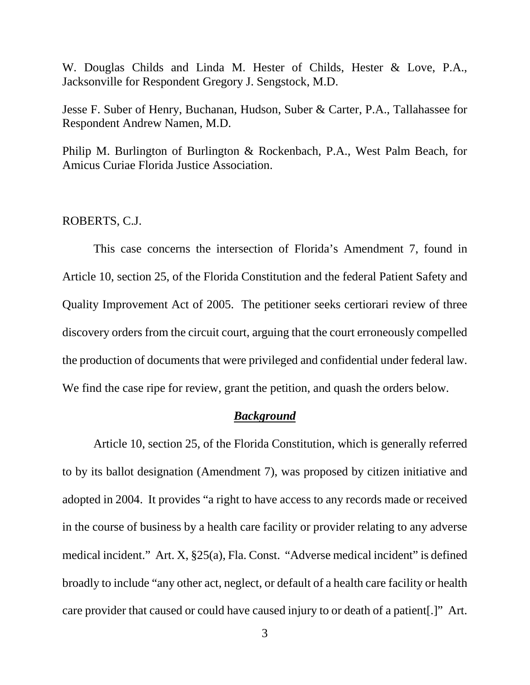W. Douglas Childs and Linda M. Hester of Childs, Hester & Love, P.A., Jacksonville for Respondent Gregory J. Sengstock, M.D.

Jesse F. Suber of Henry, Buchanan, Hudson, Suber & Carter, P.A., Tallahassee for Respondent Andrew Namen, M.D.

Philip M. Burlington of Burlington & Rockenbach, P.A., West Palm Beach, for Amicus Curiae Florida Justice Association.

### ROBERTS, C.J.

This case concerns the intersection of Florida's Amendment 7, found in Article 10, section 25, of the Florida Constitution and the federal Patient Safety and Quality Improvement Act of 2005. The petitioner seeks certiorari review of three discovery orders from the circuit court, arguing that the court erroneously compelled the production of documents that were privileged and confidential under federal law. We find the case ripe for review, grant the petition, and quash the orders below.

#### *Background*

Article 10, section 25, of the Florida Constitution, which is generally referred to by its ballot designation (Amendment 7), was proposed by citizen initiative and adopted in 2004. It provides "a right to have access to any records made or received in the course of business by a health care facility or provider relating to any adverse medical incident." Art. X, §25(a), Fla. Const. "Adverse medical incident" is defined broadly to include "any other act, neglect, or default of a health care facility or health care provider that caused or could have caused injury to or death of a patient[.]" Art.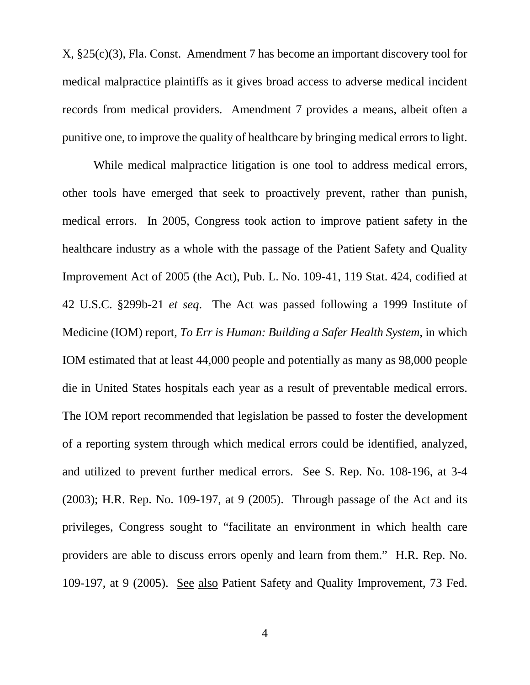X, §25(c)(3), Fla. Const. Amendment 7 has become an important discovery tool for medical malpractice plaintiffs as it gives broad access to adverse medical incident records from medical providers. Amendment 7 provides a means, albeit often a punitive one, to improve the quality of healthcare by bringing medical errors to light.

While medical malpractice litigation is one tool to address medical errors, other tools have emerged that seek to proactively prevent, rather than punish, medical errors. In 2005, Congress took action to improve patient safety in the healthcare industry as a whole with the passage of the Patient Safety and Quality Improvement Act of 2005 (the Act), Pub. L. No. 109-41, 119 Stat. 424, codified at 42 U.S.C. §299b-21 *et seq*. The Act was passed following a 1999 Institute of Medicine (IOM) report, *To Err is Human: Building a Safer Health System*, in which IOM estimated that at least 44,000 people and potentially as many as 98,000 people die in United States hospitals each year as a result of preventable medical errors. The IOM report recommended that legislation be passed to foster the development of a reporting system through which medical errors could be identified, analyzed, and utilized to prevent further medical errors. See S. Rep. No. 108-196, at 3-4 (2003); H.R. Rep. No. 109-197, at 9 (2005). Through passage of the Act and its privileges, Congress sought to "facilitate an environment in which health care providers are able to discuss errors openly and learn from them." H.R. Rep. No. 109-197, at 9 (2005). See also Patient Safety and Quality Improvement, 73 Fed.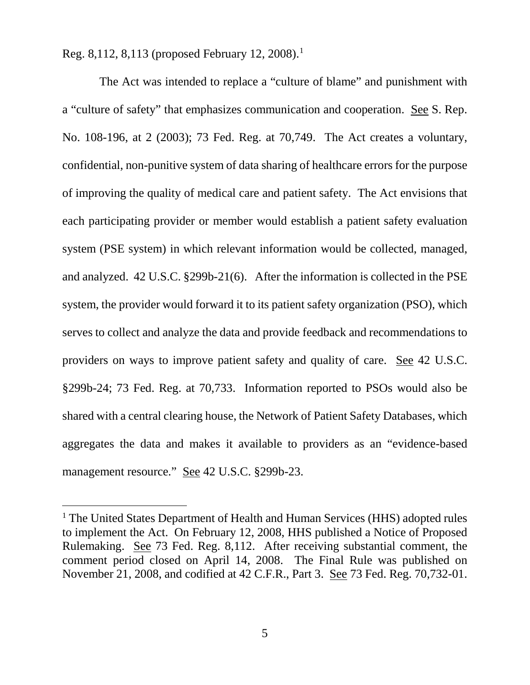Reg. 8,[1](#page-4-0)12, 8,113 (proposed February 12, 2008).<sup>1</sup>

 The Act was intended to replace a "culture of blame" and punishment with a "culture of safety" that emphasizes communication and cooperation. See S. Rep. No. 108-196, at 2 (2003); 73 Fed. Reg. at 70,749. The Act creates a voluntary, confidential, non-punitive system of data sharing of healthcare errors for the purpose of improving the quality of medical care and patient safety. The Act envisions that each participating provider or member would establish a patient safety evaluation system (PSE system) in which relevant information would be collected, managed, and analyzed. 42 U.S.C. §299b-21(6). After the information is collected in the PSE system, the provider would forward it to its patient safety organization (PSO), which serves to collect and analyze the data and provide feedback and recommendations to providers on ways to improve patient safety and quality of care. See 42 U.S.C. §299b-24; 73 Fed. Reg. at 70,733. Information reported to PSOs would also be shared with a central clearing house, the Network of Patient Safety Databases, which aggregates the data and makes it available to providers as an "evidence-based management resource." See 42 U.S.C. §299b-23.

<span id="page-4-0"></span><sup>&</sup>lt;sup>1</sup> The United States Department of Health and Human Services (HHS) adopted rules to implement the Act. On February 12, 2008, HHS published a Notice of Proposed Rulemaking. See 73 Fed. Reg. 8,112. After receiving substantial comment, the comment period closed on April 14, 2008. The Final Rule was published on November 21, 2008, and codified at 42 C.F.R., Part 3. See 73 Fed. Reg. 70,732-01.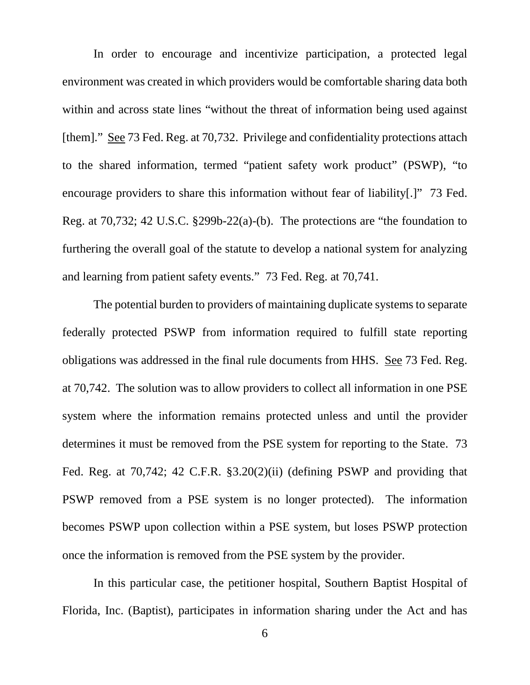In order to encourage and incentivize participation, a protected legal environment was created in which providers would be comfortable sharing data both within and across state lines "without the threat of information being used against [them]." See 73 Fed. Reg. at 70,732. Privilege and confidentiality protections attach to the shared information, termed "patient safety work product" (PSWP), "to encourage providers to share this information without fear of liability[.]" 73 Fed. Reg. at 70,732; 42 U.S.C. §299b-22(a)-(b). The protections are "the foundation to furthering the overall goal of the statute to develop a national system for analyzing and learning from patient safety events." 73 Fed. Reg. at 70,741.

The potential burden to providers of maintaining duplicate systems to separate federally protected PSWP from information required to fulfill state reporting obligations was addressed in the final rule documents from HHS. See 73 Fed. Reg. at 70,742. The solution was to allow providers to collect all information in one PSE system where the information remains protected unless and until the provider determines it must be removed from the PSE system for reporting to the State. 73 Fed. Reg. at 70,742; 42 C.F.R. §3.20(2)(ii) (defining PSWP and providing that PSWP removed from a PSE system is no longer protected). The information becomes PSWP upon collection within a PSE system, but loses PSWP protection once the information is removed from the PSE system by the provider.

In this particular case, the petitioner hospital, Southern Baptist Hospital of Florida, Inc. (Baptist), participates in information sharing under the Act and has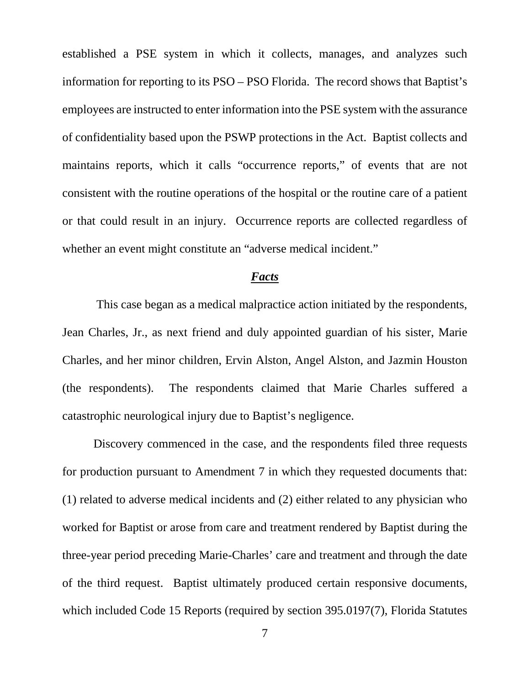established a PSE system in which it collects, manages, and analyzes such information for reporting to its PSO – PSO Florida. The record shows that Baptist's employees are instructed to enter information into the PSE system with the assurance of confidentiality based upon the PSWP protections in the Act. Baptist collects and maintains reports, which it calls "occurrence reports," of events that are not consistent with the routine operations of the hospital or the routine care of a patient or that could result in an injury. Occurrence reports are collected regardless of whether an event might constitute an "adverse medical incident."

#### *Facts*

This case began as a medical malpractice action initiated by the respondents, Jean Charles, Jr., as next friend and duly appointed guardian of his sister, Marie Charles, and her minor children, Ervin Alston, Angel Alston, and Jazmin Houston (the respondents). The respondents claimed that Marie Charles suffered a catastrophic neurological injury due to Baptist's negligence.

Discovery commenced in the case, and the respondents filed three requests for production pursuant to Amendment 7 in which they requested documents that: (1) related to adverse medical incidents and (2) either related to any physician who worked for Baptist or arose from care and treatment rendered by Baptist during the three-year period preceding Marie-Charles' care and treatment and through the date of the third request. Baptist ultimately produced certain responsive documents, which included Code 15 Reports (required by section 395.0197(7), Florida Statutes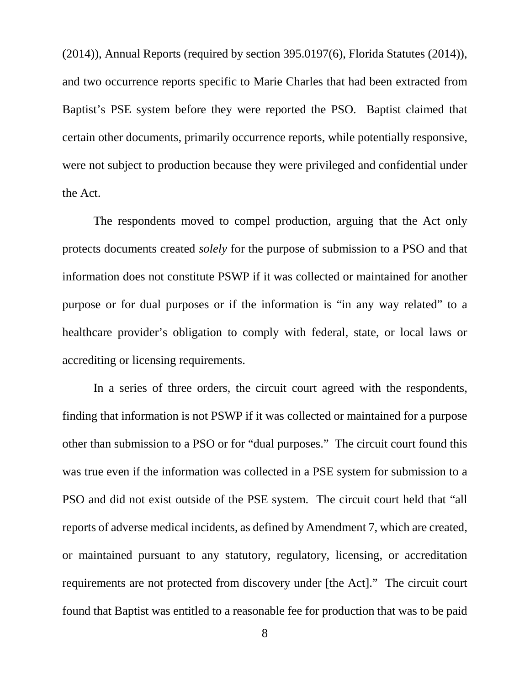(2014)), Annual Reports (required by section 395.0197(6), Florida Statutes (2014)), and two occurrence reports specific to Marie Charles that had been extracted from Baptist's PSE system before they were reported the PSO. Baptist claimed that certain other documents, primarily occurrence reports, while potentially responsive, were not subject to production because they were privileged and confidential under the Act.

The respondents moved to compel production, arguing that the Act only protects documents created *solely* for the purpose of submission to a PSO and that information does not constitute PSWP if it was collected or maintained for another purpose or for dual purposes or if the information is "in any way related" to a healthcare provider's obligation to comply with federal, state, or local laws or accrediting or licensing requirements.

In a series of three orders, the circuit court agreed with the respondents, finding that information is not PSWP if it was collected or maintained for a purpose other than submission to a PSO or for "dual purposes." The circuit court found this was true even if the information was collected in a PSE system for submission to a PSO and did not exist outside of the PSE system. The circuit court held that "all reports of adverse medical incidents, as defined by Amendment 7, which are created, or maintained pursuant to any statutory, regulatory, licensing, or accreditation requirements are not protected from discovery under [the Act]." The circuit court found that Baptist was entitled to a reasonable fee for production that was to be paid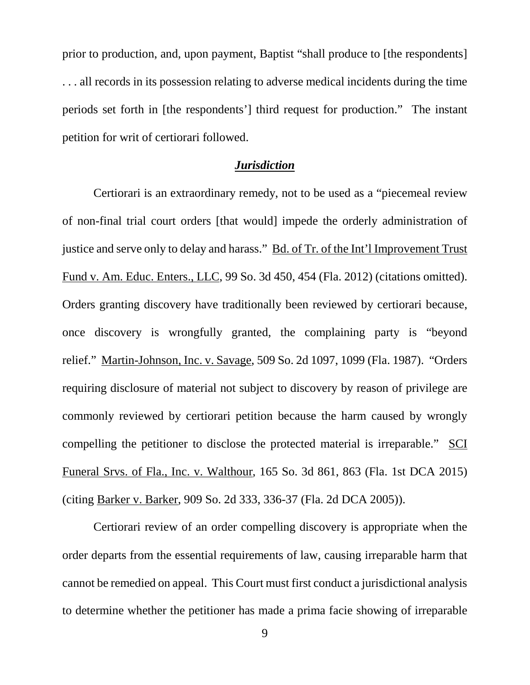prior to production, and, upon payment, Baptist "shall produce to [the respondents] . . . all records in its possession relating to adverse medical incidents during the time periods set forth in [the respondents'] third request for production." The instant petition for writ of certiorari followed.

#### *Jurisdiction*

Certiorari is an extraordinary remedy, not to be used as a "piecemeal review of non-final trial court orders [that would] impede the orderly administration of justice and serve only to delay and harass." Bd. of Tr. of the Int'l Improvement Trust Fund v. Am. Educ. Enters., LLC, 99 So. 3d 450, 454 (Fla. 2012) (citations omitted). Orders granting discovery have traditionally been reviewed by certiorari because, once discovery is wrongfully granted, the complaining party is "beyond relief." Martin-Johnson, Inc. v. Savage, 509 So. 2d 1097, 1099 (Fla. 1987). "Orders requiring disclosure of material not subject to discovery by reason of privilege are commonly reviewed by certiorari petition because the harm caused by wrongly compelling the petitioner to disclose the protected material is irreparable." SCI Funeral Srvs. of Fla., Inc. v. Walthour, 165 So. 3d 861, 863 (Fla. 1st DCA 2015) (citing Barker v. Barker, 909 So. 2d 333, 336-37 (Fla. 2d DCA 2005)).

Certiorari review of an order compelling discovery is appropriate when the order departs from the essential requirements of law, causing irreparable harm that cannot be remedied on appeal. This Court must first conduct a jurisdictional analysis to determine whether the petitioner has made a prima facie showing of irreparable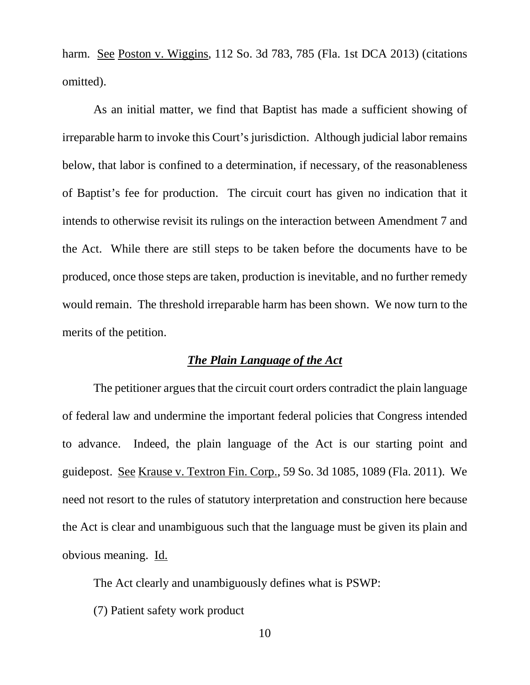harm. See Poston v. Wiggins, 112 So. 3d 783, 785 (Fla. 1st DCA 2013) (citations omitted).

As an initial matter, we find that Baptist has made a sufficient showing of irreparable harm to invoke this Court's jurisdiction. Although judicial labor remains below, that labor is confined to a determination, if necessary, of the reasonableness of Baptist's fee for production. The circuit court has given no indication that it intends to otherwise revisit its rulings on the interaction between Amendment 7 and the Act. While there are still steps to be taken before the documents have to be produced, once those steps are taken, production is inevitable, and no further remedy would remain. The threshold irreparable harm has been shown. We now turn to the merits of the petition.

#### *The Plain Language of the Act*

The petitioner argues that the circuit court orders contradict the plain language of federal law and undermine the important federal policies that Congress intended to advance. Indeed, the plain language of the Act is our starting point and guidepost. See Krause v. Textron Fin. Corp., 59 So. 3d 1085, 1089 (Fla. 2011). We need not resort to the rules of statutory interpretation and construction here because the Act is clear and unambiguous such that the language must be given its plain and obvious meaning. Id.

The Act clearly and unambiguously defines what is PSWP:

(7) Patient safety work product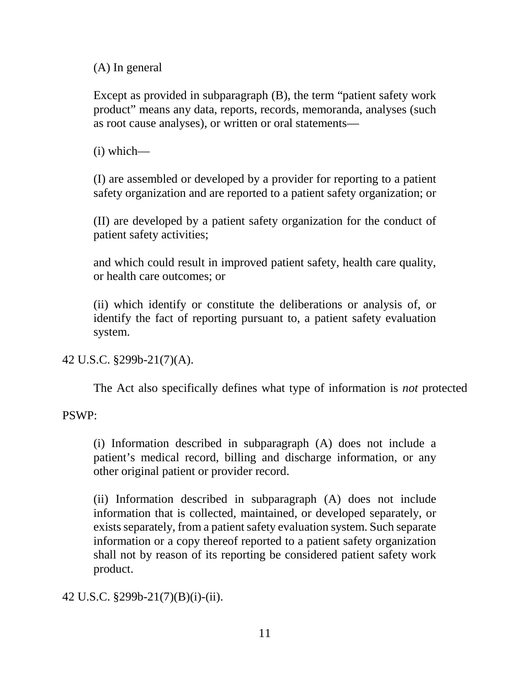(A) In general

Except as provided in subparagraph (B), the term "patient safety work product" means any data, reports, records, memoranda, analyses (such as root cause analyses), or written or oral statements—

(i) which—

(I) are assembled or developed by a provider for reporting to a patient safety organization and are reported to a patient safety organization; or

(II) are developed by a patient safety organization for the conduct of patient safety activities;

and which could result in improved patient safety, health care quality, or health care outcomes; or

(ii) which identify or constitute the deliberations or analysis of, or identify the fact of reporting pursuant to, a patient safety evaluation system.

42 U.S.C. §299b-21(7)(A).

The Act also specifically defines what type of information is *not* protected

PSWP:

(i) Information described in subparagraph (A) does not include a patient's medical record, billing and discharge information, or any other original patient or provider record.

(ii) Information described in subparagraph (A) does not include information that is collected, maintained, or developed separately, or exists separately, from a patient safety evaluation system. Such separate information or a copy thereof reported to a patient safety organization shall not by reason of its reporting be considered patient safety work product.

42 U.S.C. §299b-21(7)(B)(i)-(ii).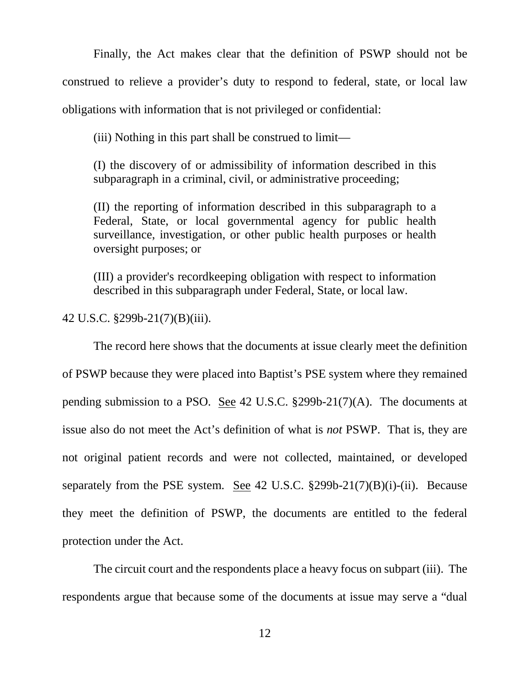Finally, the Act makes clear that the definition of PSWP should not be construed to relieve a provider's duty to respond to federal, state, or local law obligations with information that is not privileged or confidential:

(iii) Nothing in this part shall be construed to limit—

(I) the discovery of or admissibility of information described in this subparagraph in a criminal, civil, or administrative proceeding;

(II) the reporting of information described in this subparagraph to a Federal, State, or local governmental agency for public health surveillance, investigation, or other public health purposes or health oversight purposes; or

(III) a provider's recordkeeping obligation with respect to information described in this subparagraph under Federal, State, or local law.

42 U.S.C. §299b-21(7)(B)(iii).

The record here shows that the documents at issue clearly meet the definition of PSWP because they were placed into Baptist's PSE system where they remained pending submission to a PSO. See 42 U.S.C.  $\S299b-21(7)(A)$ . The documents at issue also do not meet the Act's definition of what is *not* PSWP. That is, they are not original patient records and were not collected, maintained, or developed separately from the PSE system. See 42 U.S.C. §299b-21(7)(B)(i)-(ii). Because they meet the definition of PSWP, the documents are entitled to the federal protection under the Act.

The circuit court and the respondents place a heavy focus on subpart (iii). The respondents argue that because some of the documents at issue may serve a "dual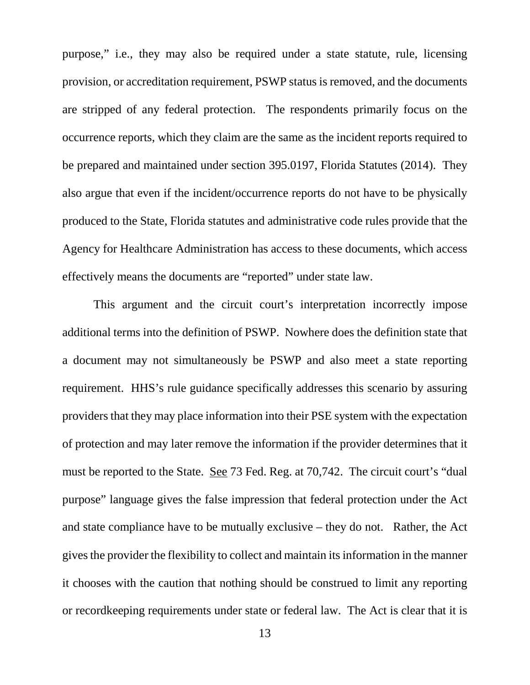purpose," i.e., they may also be required under a state statute, rule, licensing provision, or accreditation requirement, PSWP status is removed, and the documents are stripped of any federal protection. The respondents primarily focus on the occurrence reports, which they claim are the same as the incident reports required to be prepared and maintained under section 395.0197, Florida Statutes (2014). They also argue that even if the incident/occurrence reports do not have to be physically produced to the State, Florida statutes and administrative code rules provide that the Agency for Healthcare Administration has access to these documents, which access effectively means the documents are "reported" under state law.

This argument and the circuit court's interpretation incorrectly impose additional terms into the definition of PSWP. Nowhere does the definition state that a document may not simultaneously be PSWP and also meet a state reporting requirement. HHS's rule guidance specifically addresses this scenario by assuring providers that they may place information into their PSE system with the expectation of protection and may later remove the information if the provider determines that it must be reported to the State. See 73 Fed. Reg. at 70,742. The circuit court's "dual purpose" language gives the false impression that federal protection under the Act and state compliance have to be mutually exclusive – they do not. Rather, the Act gives the provider the flexibility to collect and maintain its information in the manner it chooses with the caution that nothing should be construed to limit any reporting or recordkeeping requirements under state or federal law. The Act is clear that it is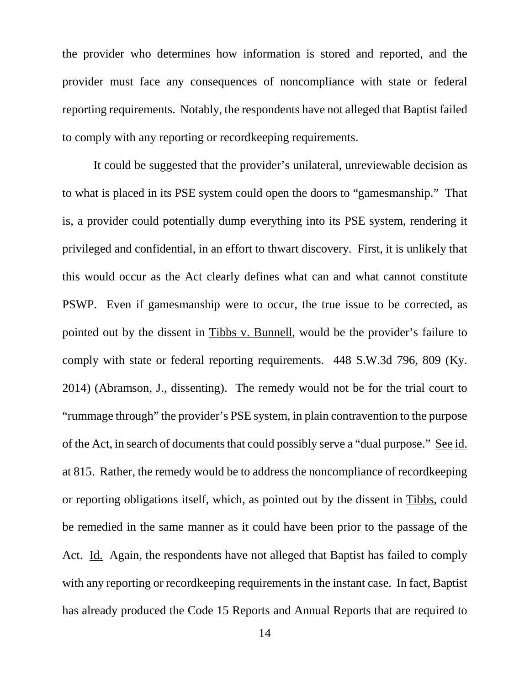the provider who determines how information is stored and reported, and the provider must face any consequences of noncompliance with state or federal reporting requirements. Notably, the respondents have not alleged that Baptist failed to comply with any reporting or recordkeeping requirements.

It could be suggested that the provider's unilateral, unreviewable decision as to what is placed in its PSE system could open the doors to "gamesmanship." That is, a provider could potentially dump everything into its PSE system, rendering it privileged and confidential, in an effort to thwart discovery. First, it is unlikely that this would occur as the Act clearly defines what can and what cannot constitute PSWP. Even if gamesmanship were to occur, the true issue to be corrected, as pointed out by the dissent in Tibbs v. Bunnell, would be the provider's failure to comply with state or federal reporting requirements. 448 S.W.3d 796, 809 (Ky. 2014) (Abramson, J., dissenting). The remedy would not be for the trial court to "rummage through" the provider's PSE system, in plain contravention to the purpose of the Act, in search of documents that could possibly serve a "dual purpose." See id. at 815. Rather, the remedy would be to address the noncompliance of recordkeeping or reporting obligations itself, which, as pointed out by the dissent in Tibbs, could be remedied in the same manner as it could have been prior to the passage of the Act. Id. Again, the respondents have not alleged that Baptist has failed to comply with any reporting or recordkeeping requirements in the instant case. In fact, Baptist has already produced the Code 15 Reports and Annual Reports that are required to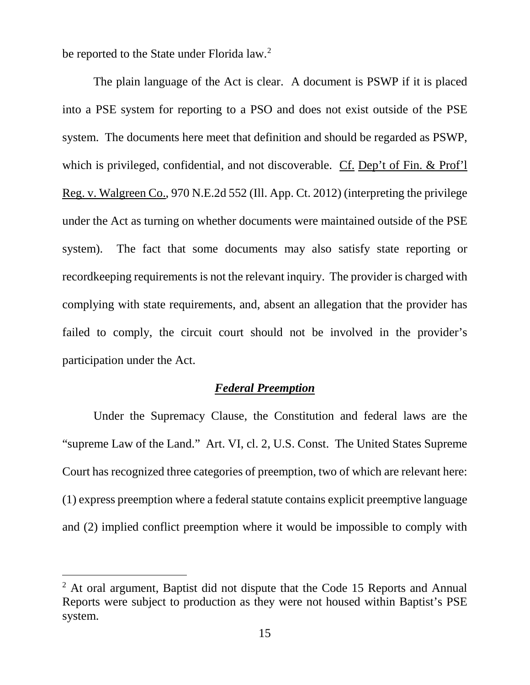be reported to the State under Florida law.<sup>[2](#page-14-0)</sup>

The plain language of the Act is clear. A document is PSWP if it is placed into a PSE system for reporting to a PSO and does not exist outside of the PSE system. The documents here meet that definition and should be regarded as PSWP, which is privileged, confidential, and not discoverable. Cf. Dep't of Fin. & Prof'l Reg. v. Walgreen Co., 970 N.E.2d 552 (Ill. App. Ct. 2012) (interpreting the privilege under the Act as turning on whether documents were maintained outside of the PSE system). The fact that some documents may also satisfy state reporting or recordkeeping requirements is not the relevant inquiry. The provider is charged with complying with state requirements, and, absent an allegation that the provider has failed to comply, the circuit court should not be involved in the provider's participation under the Act.

## *Federal Preemption*

Under the Supremacy Clause, the Constitution and federal laws are the "supreme Law of the Land." Art. VI, cl. 2, U.S. Const. The United States Supreme Court has recognized three categories of preemption, two of which are relevant here: (1) express preemption where a federal statute contains explicit preemptive language and (2) implied conflict preemption where it would be impossible to comply with

<span id="page-14-0"></span><sup>&</sup>lt;sup>2</sup> At oral argument, Baptist did not dispute that the Code 15 Reports and Annual Reports were subject to production as they were not housed within Baptist's PSE system.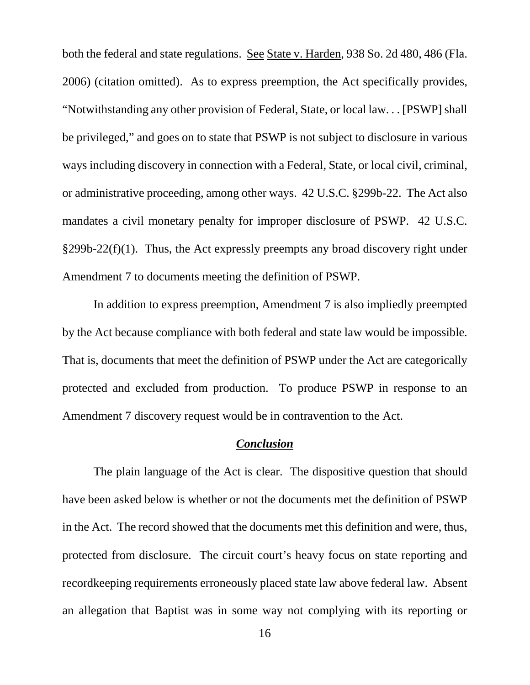both the federal and state regulations. See State v. Harden, 938 So. 2d 480, 486 (Fla. 2006) (citation omitted). As to express preemption, the Act specifically provides, "Notwithstanding any other provision of Federal, State, or local law. . . [PSWP] shall be privileged," and goes on to state that PSWP is not subject to disclosure in various ways including discovery in connection with a Federal, State, or local civil, criminal, or administrative proceeding, among other ways. 42 U.S.C. §299b-22. The Act also mandates a civil monetary penalty for improper disclosure of PSWP. 42 U.S.C.  $§299b-22(f)(1)$ . Thus, the Act expressly preempts any broad discovery right under Amendment 7 to documents meeting the definition of PSWP.

In addition to express preemption, Amendment 7 is also impliedly preempted by the Act because compliance with both federal and state law would be impossible. That is, documents that meet the definition of PSWP under the Act are categorically protected and excluded from production. To produce PSWP in response to an Amendment 7 discovery request would be in contravention to the Act.

## *Conclusion*

The plain language of the Act is clear. The dispositive question that should have been asked below is whether or not the documents met the definition of PSWP in the Act. The record showed that the documents met this definition and were, thus, protected from disclosure. The circuit court's heavy focus on state reporting and recordkeeping requirements erroneously placed state law above federal law. Absent an allegation that Baptist was in some way not complying with its reporting or